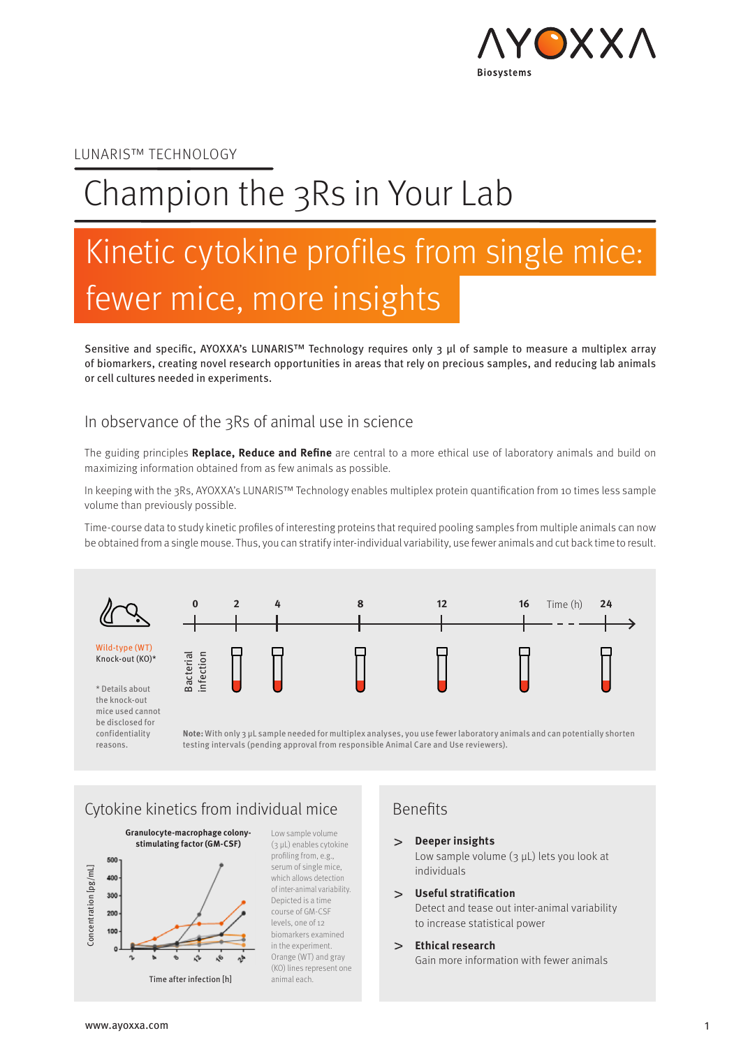

#### LUNARIS™ TECHNOLOGY

# Champion the 3Rs in Your Lab

# Kinetic cytokine profiles from single mice: fewer mice, more insights

Sensitive and specific, AYOXXA's LUNARIS™ Technology requires only 3 µl of sample to measure a multiplex array of biomarkers, creating novel research opportunities in areas that rely on precious samples, and reducing lab animals or cell cultures needed in experiments.

#### In observance of the 3Rs of animal use in science

The guiding principles **Replace, Reduce and Refine** are central to a more ethical use of laboratory animals and build on maximizing information obtained from as few animals as possible.

In keeping with the 3Rs, AYOXXA's LUNARIS™ Technology enables multiplex protein quantification from 10 times less sample volume than previously possible.

Time-course data to study kinetic profiles of interesting proteins that required pooling samples from multiple animals can now be obtained from a single mouse. Thus, you can stratify inter-individual variability, use fewer animals and cut back time to result.



the knock-out mice used cannot be disclosed for confidentiality reasons.

**Note:** With only 3 µL sample needed for multiplex analyses, you use fewer laboratory animals and can potentially shorten testing intervals (pending approval from responsible Animal Care and Use reviewers).

### Cytokine kinetics from individual mice Benefits



Low sample volume (3 µL) enables cytokine profiling from, e.g., serum of single mice, which allows detection of inter-animal variability. Depicted is a time course of GM-CSF levels, one of 12 biomarkers examined in the experiment. Orange (WT) and gray (KO) lines represent one animal each.

**Deeper insights**

Low sample volume (3 µL) lets you look at individuals

**Useful stratification** Detect and tease out inter-animal variability

to increase statistical power

#### **Ethical research**

Gain more information with fewer animals